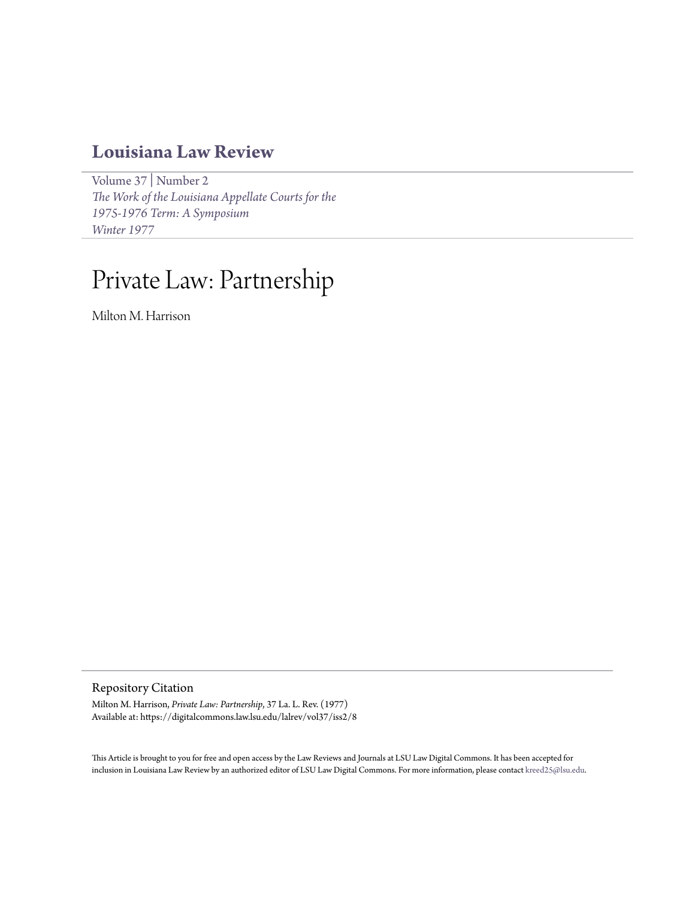## **[Louisiana Law Review](https://digitalcommons.law.lsu.edu/lalrev)**

[Volume 37](https://digitalcommons.law.lsu.edu/lalrev/vol37) | [Number 2](https://digitalcommons.law.lsu.edu/lalrev/vol37/iss2) *[The Work of the Louisiana Appellate Courts for the](https://digitalcommons.law.lsu.edu/lalrev/vol37/iss2) [1975-1976 Term: A Symposium](https://digitalcommons.law.lsu.edu/lalrev/vol37/iss2) [Winter 1977](https://digitalcommons.law.lsu.edu/lalrev/vol37/iss2)*

## Private Law: Partnership

Milton M. Harrison

Repository Citation

Milton M. Harrison, *Private Law: Partnership*, 37 La. L. Rev. (1977) Available at: https://digitalcommons.law.lsu.edu/lalrev/vol37/iss2/8

This Article is brought to you for free and open access by the Law Reviews and Journals at LSU Law Digital Commons. It has been accepted for inclusion in Louisiana Law Review by an authorized editor of LSU Law Digital Commons. For more information, please contact [kreed25@lsu.edu](mailto:kreed25@lsu.edu).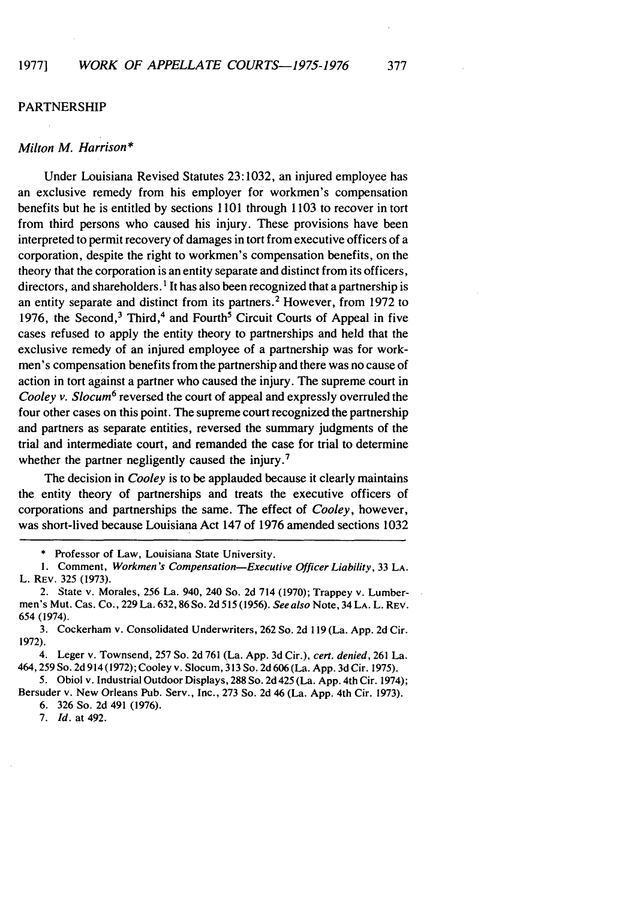## PARTNERSHIP

## *Milton M. Harrison\**

Under Louisiana Revised Statutes 23:1032, an injured employee has an exclusive remedy from his employer for workmen's compensation benefits but he is entitled by sections 1101 through 1103 to recover in tort from third persons who caused his injury. These provisions have been interpreted to permit recovery of damages in tort from executive officers of a corporation, despite the right to workmen's compensation benefits, on the theory that the corporation is an entity separate and distinct from its officers, directors, and shareholders.<sup>1</sup> It has also been recognized that a partnership is an entity separate and distinct from its partners. 2 However, from 1972 to 1976, the Second,  $3$  Third,  $4$  and Fourth<sup>5</sup> Circuit Courts of Appeal in five cases refused to apply the entity theory to partnerships and held that the exclusive remedy of an injured employee of a partnership was for workmen's compensation benefits from the partnership and there was no cause of action in tort against a partner who caused the injury. The supreme court in Cooley *v. Slocum6* reversed the court of appeal and expressly overruled the four other cases on this point. The supreme court recognized the partnership and partners as separate entities, reversed the summary judgments of the trial and intermediate court, and remanded the case for trial to determine whether the partner negligently caused the injury.<sup>7</sup>

The decision in *Cooley* is to be applauded because it clearly maintains the entity theory of partnerships and treats the executive officers of corporations and partnerships the same. The effect of *Cooley,* however, was short-lived because Louisiana Act 147 of 1976 amended sections 1032

5. Obiol v. Industrial Outdoor Displays, 288 So. 2d 425 (La. App. 4th Cir. 1974); Bersuder v. New Orleans Pub. Serv., Inc., 273 So. 2d 46 (La. App. 4th Cir. 1973).

6. 326 So. 2d 491 (1976).

7. *Id.* at 492.

<sup>\*</sup> Professor of Law, Louisiana State University.

<sup>1.</sup> Comment, *Workmen's Compensation-Executive Officer Liability,* 33 **LA.** L. REV. 325 (1973).

<sup>2.</sup> State v. Morales, 256 La. 940, 240 So. 2d 714 (1970); Trappey v. Lumbermen's Mut. Cas. Co., 229 La. 632, 86 So. 2d 515 (1956). *See also* Note, 34 LA. L. REV. 654 (1974).

<sup>3.</sup> Cockerham v. Consolidated Underwriters, 262 So. 2d 119 (La. App. 2d Cir. 1972).

<sup>4.</sup> Leger v. Townsend, 257 So. 2d 761 (La. App. 3d Cir.), *cert. denied,* 261 La. 464,259 So. 2d 914 (1972); Cooley v. Slocum, 313 So. 2d 606 (La. App. 3d Cir. 1975).